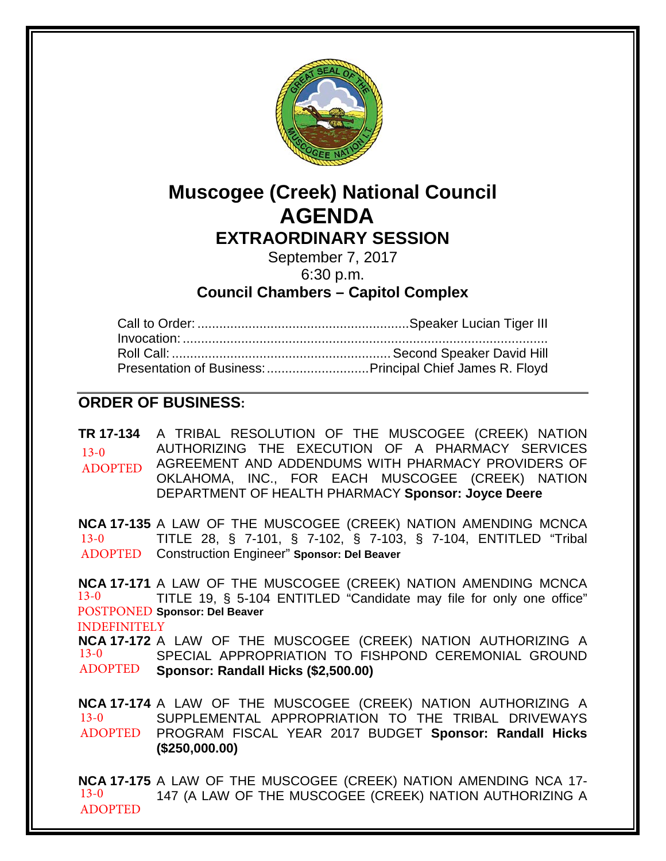

# **Muscogee (Creek) National Council AGENDA EXTRAORDINARY SESSION**

September 7, 2017 6:30 p.m.

**Council Chambers – Capitol Complex**

| Presentation of Business:  Principal Chief James R. Floyd |
|-----------------------------------------------------------|

# **ORDER OF BUSINESS:**

**TR 17-134** A TRIBAL RESOLUTION OF THE MUSCOGEE (CREEK) NATION AUTHORIZING THE EXECUTION OF A PHARMACY SERVICES AGREEMENT AND ADDENDUMS WITH PHARMACY PROVIDERS OF OKLAHOMA, INC., FOR EACH MUSCOGEE (CREEK) NATION DEPARTMENT OF HEALTH PHARMACY **Sponsor: Joyce Deere**  $13-0$ ADOPTED

**NCA 17-135** A LAW OF THE MUSCOGEE (CREEK) NATION AMENDING MCNCA TITLE 28, § 7-101, § 7-102, § 7-103, § 7-104, ENTITLED "Tribal Construction Engineer" **Sponsor: Del Beaver** ADOPTED 13-0

**NCA 17-171** A LAW OF THE MUSCOGEE (CREEK) NATION AMENDING MCNCA TITLE 19, § 5-104 ENTITLED "Candidate may file for only one office" POSTPONED Sponsor: Del Beaver 13-0 INDEFINITELY

**NCA 17-172** A LAW OF THE MUSCOGEE (CREEK) NATION AUTHORIZING A SPECIAL APPROPRIATION TO FISHPOND CEREMONIAL GROUND **Sponsor: Randall Hicks (\$2,500.00)** 13-0 ADOPTED

**NCA 17-174** A LAW OF THE MUSCOGEE (CREEK) NATION AUTHORIZING A SUPPLEMENTAL APPROPRIATION TO THE TRIBAL DRIVEWAYS PROGRAM FISCAL YEAR 2017 BUDGET **Sponsor: Randall Hicks**  ADOPTED **(\$250,000.00)** 13-0

**NCA 17-175** A LAW OF THE MUSCOGEE (CREEK) NATION AMENDING NCA 17- 147 (A LAW OF THE MUSCOGEE (CREEK) NATION AUTHORIZING A 13-0 ADOPTED